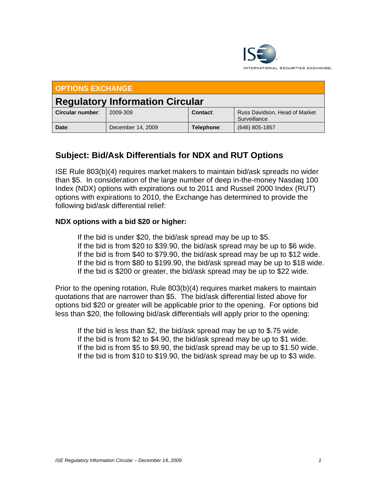

| <b>OPTIONS EXCHANGE</b>                |                   |            |                                               |
|----------------------------------------|-------------------|------------|-----------------------------------------------|
| <b>Regulatory Information Circular</b> |                   |            |                                               |
| Circular number:                       | 2009-309          | Contact:   | Russ Davidson, Head of Market<br>Surveillance |
| Date:                                  | December 14, 2009 | Telephone: | $(646)$ 805-1857                              |

## **Subject: Bid/Ask Differentials for NDX and RUT Options**

ISE Rule 803(b)(4) requires market makers to maintain bid/ask spreads no wider than \$5. In consideration of the large number of deep in-the-money Nasdaq 100 Index (NDX) options with expirations out to 2011 and Russell 2000 Index (RUT) options with expirations to 2010, the Exchange has determined to provide the following bid/ask differential relief:

## **NDX options with a bid \$20 or higher:**

 If the bid is under \$20, the bid/ask spread may be up to \$5. If the bid is from \$20 to \$39.90, the bid/ask spread may be up to \$6 wide. If the bid is from \$40 to \$79.90, the bid/ask spread may be up to \$12 wide. If the bid is from \$80 to \$199.90, the bid/ask spread may be up to \$18 wide. If the bid is \$200 or greater, the bid/ask spread may be up to \$22 wide.

Prior to the opening rotation, Rule 803(b)(4) requires market makers to maintain quotations that are narrower than \$5. The bid/ask differential listed above for options bid \$20 or greater will be applicable prior to the opening. For options bid less than \$20, the following bid/ask differentials will apply prior to the opening:

 If the bid is less than \$2, the bid/ask spread may be up to \$.75 wide. If the bid is from \$2 to \$4.90, the bid/ask spread may be up to \$1 wide. If the bid is from \$5 to \$9.90, the bid/ask spread may be up to \$1.50 wide. If the bid is from \$10 to \$19.90, the bid/ask spread may be up to \$3 wide.